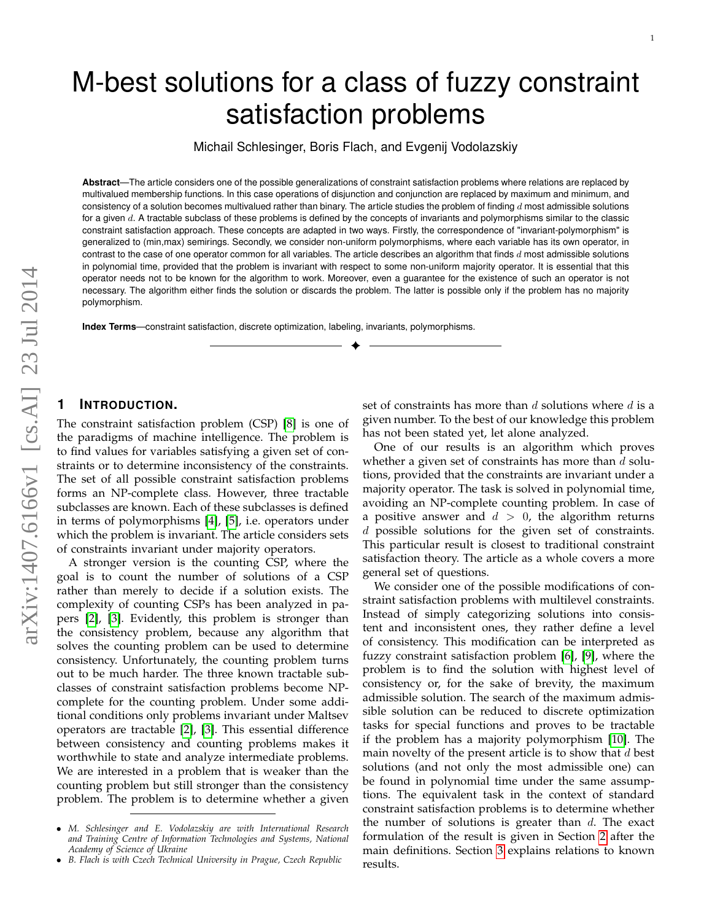Michail Schlesinger, Boris Flach, and Evgenij Vodolazskiy

**Abstract**—The article considers one of the possible generalizations of constraint satisfaction problems where relations are replaced by multivalued membership functions. In this case operations of disjunction and conjunction are replaced by maximum and minimum, and consistency of a solution becomes multivalued rather than binary. The article studies the problem of finding  $d$  most admissible solutions for a given d. A tractable subclass of these problems is defined by the concepts of invariants and polymorphisms similar to the classic constraint satisfaction approach. These concepts are adapted in two ways. Firstly, the correspondence of "invariant-polymorphism" is generalized to (min,max) semirings. Secondly, we consider non-uniform polymorphisms, where each variable has its own operator, in contrast to the case of one operator common for all variables. The article describes an algorithm that finds  $d$  most admissible solutions in polynomial time, provided that the problem is invariant with respect to some non-uniform majority operator. It is essential that this operator needs not to be known for the algorithm to work. Moreover, even a guarantee for the existence of such an operator is not necessary. The algorithm either finds the solution or discards the problem. The latter is possible only if the problem has no majority polymorphism.

✦

**Index Terms**—constraint satisfaction, discrete optimization, labeling, invariants, polymorphisms.

## **1 INTRODUCTION.**

The constraint satisfaction problem (CSP) [\[8\]](#page-8-0) is one of the paradigms of machine intelligence. The problem is to find values for variables satisfying a given set of constraints or to determine inconsistency of the constraints. The set of all possible constraint satisfaction problems forms an NP-complete class. However, three tractable subclasses are known. Each of these subclasses is defined in terms of polymorphisms [\[4\]](#page-8-1), [\[5\]](#page-8-2), i.e. operators under which the problem is invariant. The article considers sets of constraints invariant under majority operators.

A stronger version is the counting CSP, where the goal is to count the number of solutions of a CSP rather than merely to decide if a solution exists. The complexity of counting CSPs has been analyzed in papers [\[2\]](#page-8-3), [\[3\]](#page-8-4). Evidently, this problem is stronger than the consistency problem, because any algorithm that solves the counting problem can be used to determine consistency. Unfortunately, the counting problem turns out to be much harder. The three known tractable subclasses of constraint satisfaction problems become NPcomplete for the counting problem. Under some additional conditions only problems invariant under Maltsev operators are tractable [\[2\]](#page-8-3), [\[3\]](#page-8-4). This essential difference between consistency and counting problems makes it worthwhile to state and analyze intermediate problems. We are interested in a problem that is weaker than the counting problem but still stronger than the consistency problem. The problem is to determine whether a given

set of constraints has more than  $d$  solutions where  $d$  is a given number. To the best of our knowledge this problem has not been stated yet, let alone analyzed.

One of our results is an algorithm which proves whether a given set of constraints has more than  $d$  solutions, provided that the constraints are invariant under a majority operator. The task is solved in polynomial time, avoiding an NP-complete counting problem. In case of a positive answer and  $d > 0$ , the algorithm returns d possible solutions for the given set of constraints. This particular result is closest to traditional constraint satisfaction theory. The article as a whole covers a more general set of questions.

We consider one of the possible modifications of constraint satisfaction problems with multilevel constraints. Instead of simply categorizing solutions into consistent and inconsistent ones, they rather define a level of consistency. This modification can be interpreted as fuzzy constraint satisfaction problem [\[6\]](#page-8-5), [\[9\]](#page-8-6), where the problem is to find the solution with highest level of consistency or, for the sake of brevity, the maximum admissible solution. The search of the maximum admissible solution can be reduced to discrete optimization tasks for special functions and proves to be tractable if the problem has a majority polymorphism [\[10\]](#page-8-7). The main novelty of the present article is to show that  $d$  best solutions (and not only the most admissible one) can be found in polynomial time under the same assumptions. The equivalent task in the context of standard constraint satisfaction problems is to determine whether the number of solutions is greater than  $d$ . The exact formulation of the result is given in Section [2](#page-1-0) after the main definitions. Section [3](#page-2-0) explains relations to known results.

<sup>•</sup> *M. Schlesinger and E. Vodolazskiy are with International Research and Training Centre of Information Technologies and Systems, National Academy of Science of Ukraine*

<sup>•</sup> *B. Flach is with Czech Technical University in Prague, Czech Republic*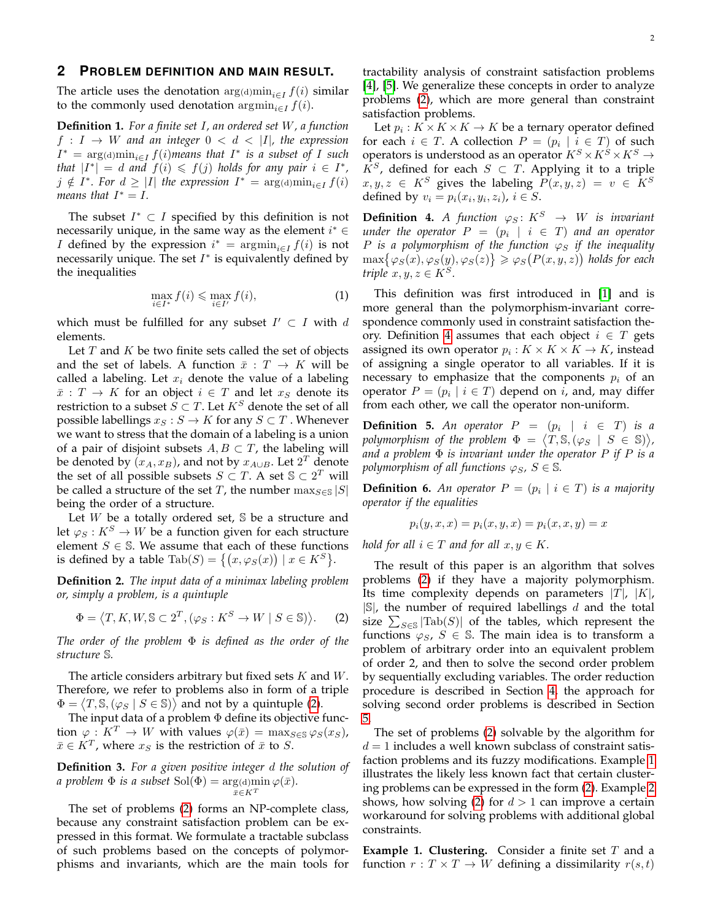### <span id="page-1-0"></span>**2 PROBLEM DEFINITION AND MAIN RESULT.**

The article uses the denotation  $\arg(\mathrm{d})\min_{i\in I} f(i)$  similar to the commonly used denotation  $\arg \min_{i \in I} f(i)$ .

<span id="page-1-5"></span>**Definition 1.** *For a finite set* I*, an ordered set* W*, a function*  $f: I \to W$  and an integer  $0 < d < |I|$ , the expression  $I^* = \arg(\text{d})\min_{i \in I} f(i)$ *means that*  $I^*$  *is a subset of I such that*  $|I^*| = d$  *and*  $f(i) \leq f(j)$  *holds for any pair*  $i \in I^*$ ,  $j \notin I^*$ . For  $d \geq |I|$  the expression  $I^* = \arg(\dim \mathcal{L}_{i \in I} f(i))$ *means that*  $I^* = I$ .

The subset  $I^* \subset I$  specified by this definition is not necessarily unique, in the same way as the element  $i^* \in$ *I* defined by the expression  $i^* = \operatorname{argmin}_{i \in I} f(i)$  is not necessarily unique. The set  $I^*$  is equivalently defined by the inequalities

<span id="page-1-4"></span>
$$
\max_{i \in I^*} f(i) \le \max_{i \in I'} f(i),\tag{1}
$$

which must be fulfilled for any subset  $I' \subset I$  with d elements.

Let  $T$  and  $K$  be two finite sets called the set of objects and the set of labels. A function  $\bar{x}: T \to K$  will be called a labeling. Let  $x_i$  denote the value of a labeling  $\bar{x}: T \to K$  for an object  $i \in T$  and let  $x_S$  denote its restriction to a subset  $S \subset T$ . Let  $K^S$  denote the set of all possible labellings  $x_S : S \to K$  for any  $S \subset T$ . Whenever we want to stress that the domain of a labeling is a union of a pair of disjoint subsets  $A, B \subset T$ , the labeling will be denoted by  $(x_A, x_B)$ , and not by  $x_{A\cup B}$ . Let  $2^T$  denote the set of all possible subsets  $S \subset T$ . A set  $\mathbb{S} \subset 2^T$  will be called a structure of the set T, the number  $\max_{S \in \mathcal{S}} |S|$ being the order of a structure.

Let  $W$  be a totally ordered set,  $S$  be a structure and let  $\varphi_S : K^S \to W$  be a function given for each structure element  $S \in \mathbb{S}$ . We assume that each of these functions is defined by a table  $\text{Tab}(S) = \big\{ (x, \varphi_S(x)) \mid x \in K^S \big\}.$ 

**Definition 2.** *The input data of a minimax labeling problem or, simply a problem, is a quintuple*

<span id="page-1-1"></span>
$$
\Phi = \langle T, K, W, \mathbb{S} \subset 2^T, (\varphi_S : K^S \to W \mid S \in \mathbb{S}) \rangle. \tag{2}
$$

*The order of the problem* Φ *is defined as the order of the structure* S*.*

The article considers arbitrary but fixed sets  $K$  and  $W$ . Therefore, we refer to problems also in form of a triple  $\Phi = \langle T, \mathbb{S}, (\varphi_S \mid S \in \mathbb{S}) \rangle$  and not by a quintuple [\(2\)](#page-1-1).

The input data of a problem  $\Phi$  define its objective function  $\varphi: K^T \to W$  with values  $\varphi(\bar{x}) = \max_{S \in S} \varphi_S(x_S)$ ,  $\bar{x} \in K^T$ , where  $x_S$  is the restriction of  $\bar{x}$  to  $S$ .

**Definition 3.** *For a given positive integer* d *the solution of a problem*  $\Phi$  *is a subset*  $\text{Sol}(\Phi) = \arg(\text{d})\text{min }\varphi(\bar{x})$ *.*  $\bar{x}$ ∈ $K^T$ 

The set of problems [\(2\)](#page-1-1) forms an NP-complete class, because any constraint satisfaction problem can be expressed in this format. We formulate a tractable subclass of such problems based on the concepts of polymorphisms and invariants, which are the main tools for

tractability analysis of constraint satisfaction problems [\[4\]](#page-8-1), [\[5\]](#page-8-2). We generalize these concepts in order to analyze problems [\(2\)](#page-1-1), which are more general than constraint satisfaction problems.

Let  $p_i: K \times K \times K \to K$  be a ternary operator defined for each  $i \in T$ . A collection  $P = (p_i \mid i \in T)$  of such operators is understood as an operator  $K^S \times K^S \times K^S \rightarrow$  $K^S$ , defined for each  $S \subset T$ . Applying it to a triple  $x, y, z \in K^S$  gives the labeling  $P(x, y, z) = v \in K^S$ defined by  $v_i = p_i(x_i, y_i, z_i)$ ,  $i \in S$ .

<span id="page-1-2"></span>**Definition 4.** *A function*  $\varphi_S: K^S \to W$  *is invariant*  $u$ *nder the operator*  $P = (p_i \mid i \in T)$  *and an operator P* is a polymorphism of the function  $\varphi_S$  if the inequality  $\max\{\varphi_S(x),\varphi_S(y),\varphi_S(z)\}\geqslant \varphi_S\big(P(x,y,z)\big)$  holds for each *triple*  $x, y, z \in K^S$ .

This definition was first introduced in [\[1\]](#page-8-8) and is more general than the polymorphism-invariant correspondence commonly used in constraint satisfaction the-ory. Definition [4](#page-1-2) assumes that each object  $i \in T$  gets assigned its own operator  $p_i: K \times K \times K \to K$ , instead of assigning a single operator to all variables. If it is necessary to emphasize that the components  $p_i$  of an operator  $P = (p_i \mid i \in T)$  depend on *i*, and, may differ from each other, we call the operator non-uniform.

**Definition 5.** An operator  $P = (p_i \mid i \in T)$  is a *polymorphism of the problem*  $\Phi = \langle T, \mathbb{S}, (\varphi_S \mid S \in \mathbb{S}) \rangle$ , *and a problem* Φ *is invariant under the operator* P *if* P *is a polymorphism of all functions*  $\varphi_S$ ,  $S \in \mathbb{S}$ *.* 

**Definition 6.** An operator  $P = (p_i \mid i \in T)$  is a majority *operator if the equalities*

$$
p_i(y, x, x) = p_i(x, y, x) = p_i(x, x, y) = x
$$

*hold for all*  $i \in T$  *and for all*  $x, y \in K$ .

The result of this paper is an algorithm that solves problems [\(2\)](#page-1-1) if they have a majority polymorphism. Its time complexity depends on parameters  $|T|$ ,  $|K|$ ,  $|S|$ , the number of required labellings d and the total size  $\sum_{S \in \mathbb{S}} |\text{Tab}(S)|$  of the tables, which represent the functions  $\varphi_S$ ,  $S \in \mathbb{S}$ . The main idea is to transform a problem of arbitrary order into an equivalent problem of order 2, and then to solve the second order problem by sequentially excluding variables. The order reduction procedure is described in Section [4,](#page-2-1) the approach for solving second order problems is described in Section [5.](#page-4-0)

The set of problems [\(2\)](#page-1-1) solvable by the algorithm for  $d = 1$  includes a well known subclass of constraint satisfaction problems and its fuzzy modifications. Example [1](#page-1-3) illustrates the likely less known fact that certain clustering problems can be expressed in the form [\(2\)](#page-1-1). Example [2](#page-2-2) shows, how solving [\(2\)](#page-1-1) for  $d > 1$  can improve a certain workaround for solving problems with additional global constraints.

<span id="page-1-3"></span>**Example 1. Clustering.** Consider a finite set T and a function  $r: T \times T \rightarrow W$  defining a dissimilarity  $r(s,t)$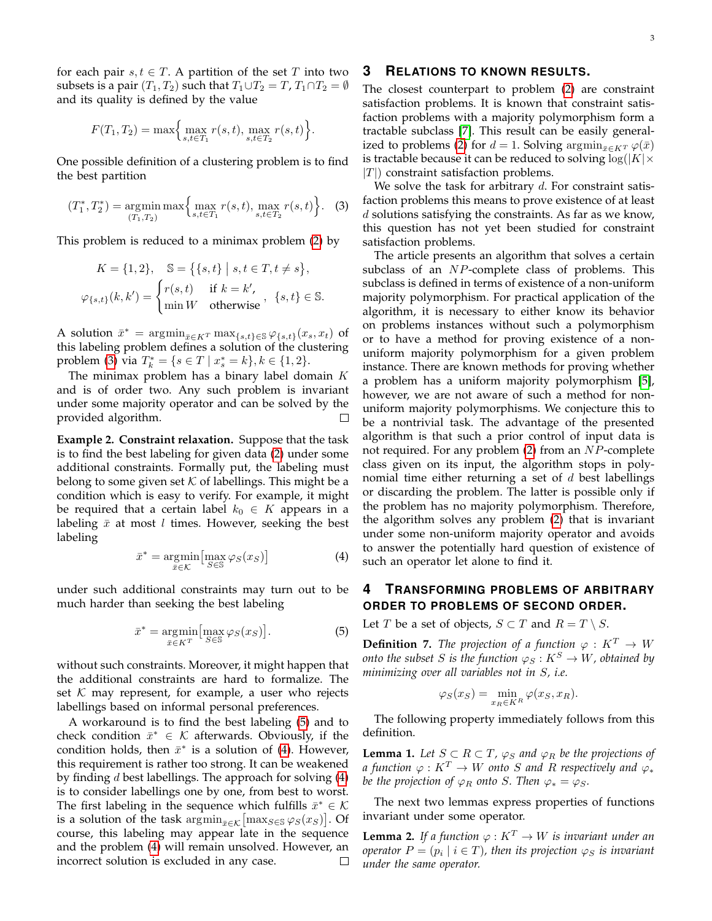for each pair  $s, t \in T$ . A partition of the set T into two subsets is a pair  $(T_1, T_2)$  such that  $T_1 \cup T_2 = T$ ,  $T_1 \cap T_2 = \emptyset$ and its quality is defined by the value

$$
F(T_1, T_2) = \max \Big\{ \max_{s, t \in T_1} r(s, t), \max_{s, t \in T_2} r(s, t) \Big\}.
$$

One possible definition of a clustering problem is to find the best partition

<span id="page-2-3"></span>
$$
(T_1^*, T_2^*) = \underset{(T_1, T_2)}{\text{argmin}} \max \Big\{ \underset{s, t \in T_1}{\text{max}} r(s, t), \underset{s, t \in T_2}{\text{max}} r(s, t) \Big\}. \tag{3}
$$

This problem is reduced to a minimax problem [\(2\)](#page-1-1) by

$$
K = \{1, 2\}, \quad \mathbb{S} = \{\{s, t\} \mid s, t \in T, t \neq s\},
$$

$$
\varphi_{\{s, t\}}(k, k') = \begin{cases} r(s, t) & \text{if } k = k', \\ \min W & \text{otherwise} \end{cases}, \{s, t\} \in \mathbb{S}.
$$

A solution  $\bar{x}^* = \operatorname{argmin}_{\bar{x} \in K^T} \max\{s,t\} \in \mathcal{S} \varphi\{s,t\}(x_s, x_t)$  of this labeling problem defines a solution of the clustering problem [\(3\)](#page-2-3) via  $T_k^* = \{ s \in T \mid x_s^* = k \}, k \in \{1, 2\}.$ 

The minimax problem has a binary label domain  $K$ and is of order two. Any such problem is invariant under some majority operator and can be solved by the provided algorithm.  $\Box$ 

<span id="page-2-2"></span>**Example 2. Constraint relaxation.** Suppose that the task is to find the best labeling for given data [\(2\)](#page-1-1) under some additional constraints. Formally put, the labeling must belong to some given set  $K$  of labellings. This might be a condition which is easy to verify. For example, it might be required that a certain label  $k_0 \in K$  appears in a labeling  $\bar{x}$  at most l times. However, seeking the best labeling

<span id="page-2-5"></span>
$$
\bar{x}^* = \underset{\bar{x} \in \mathcal{K}}{\operatorname{argmin}} \left[ \underset{S \in \mathbb{S}}{\operatorname{max}} \varphi_S(x_S) \right] \tag{4}
$$

under such additional constraints may turn out to be much harder than seeking the best labeling

<span id="page-2-4"></span>
$$
\bar{x}^* = \underset{\bar{x} \in K^T}{\operatorname{argmin}} \left[ \underset{S \in \mathbb{S}}{\max} \varphi_S(x_S) \right]. \tag{5}
$$

without such constraints. Moreover, it might happen that the additional constraints are hard to formalize. The set  $K$  may represent, for example, a user who rejects labellings based on informal personal preferences.

A workaround is to find the best labeling [\(5\)](#page-2-4) and to check condition  $\bar{x}^* \in \mathcal{K}$  afterwards. Obviously, if the condition holds, then  $\bar{x}^*$  is a solution of [\(4\)](#page-2-5). However, this requirement is rather too strong. It can be weakened by finding  $d$  best labellings. The approach for solving  $(4)$ is to consider labellings one by one, from best to worst. The first labeling in the sequence which fulfills  $\bar{x}^* \in \mathcal{K}$ is a solution of the task  $\operatorname{argmin}_{\bar{x}\in\mathcal{K}}\bigl[\max_{S\in\mathbb{S}}\varphi_S(x_S)\bigr]$ . Of course, this labeling may appear late in the sequence and the problem [\(4\)](#page-2-5) will remain unsolved. However, an incorrect solution is excluded in any case.  $\Box$ 

## <span id="page-2-0"></span>**3 RELATIONS TO KNOWN RESULTS.**

The closest counterpart to problem [\(2\)](#page-1-1) are constraint satisfaction problems. It is known that constraint satisfaction problems with a majority polymorphism form a tractable subclass [\[7\]](#page-8-9). This result can be easily general-ized to problems [\(2\)](#page-1-1) for  $d = 1$ . Solving  $\arg\min_{\bar{x} \in K^T} \varphi(\bar{x})$ is tractable because it can be reduced to solving  $log(|K| \times$  $|T|$ ) constraint satisfaction problems.

We solve the task for arbitrary  $d$ . For constraint satisfaction problems this means to prove existence of at least d solutions satisfying the constraints. As far as we know, this question has not yet been studied for constraint satisfaction problems.

The article presents an algorithm that solves a certain subclass of an NP-complete class of problems. This subclass is defined in terms of existence of a non-uniform majority polymorphism. For practical application of the algorithm, it is necessary to either know its behavior on problems instances without such a polymorphism or to have a method for proving existence of a nonuniform majority polymorphism for a given problem instance. There are known methods for proving whether a problem has a uniform majority polymorphism [\[5\]](#page-8-2), however, we are not aware of such a method for nonuniform majority polymorphisms. We conjecture this to be a nontrivial task. The advantage of the presented algorithm is that such a prior control of input data is not required. For any problem  $(2)$  from an  $NP$ -complete class given on its input, the algorithm stops in polynomial time either returning a set of  $d$  best labellings or discarding the problem. The latter is possible only if the problem has no majority polymorphism. Therefore, the algorithm solves any problem [\(2\)](#page-1-1) that is invariant under some non-uniform majority operator and avoids to answer the potentially hard question of existence of such an operator let alone to find it.

# <span id="page-2-1"></span>**4 TRANSFORMING PROBLEMS OF ARBITRARY ORDER TO PROBLEMS OF SECOND ORDER.**

Let *T* be a set of objects, *S*  $\subset$  *T* and *R* = *T*  $\setminus$  *S*.

**Definition 7.** *The projection of a function*  $\varphi : K^T \to W$ *onto the subset S is the function*  $\varphi_S : K^S \to W$ *, obtained by minimizing over all variables not in* S*, i.e.*

$$
\varphi_S(x_S) = \min_{x_R \in K^R} \varphi(x_S, x_R).
$$

The following property immediately follows from this definition.

<span id="page-2-7"></span>**Lemma 1.** Let  $S \subset R \subset T$ ,  $\varphi_S$  and  $\varphi_R$  be the projections of *a* function  $\varphi: K^T \to W$  onto S and R respectively and  $\varphi_*$ *be the projection of*  $\varphi_R$  *onto* S. Then  $\varphi_* = \varphi_S$ .

The next two lemmas express properties of functions invariant under some operator.

<span id="page-2-6"></span>**Lemma 2.** *If a function*  $\varphi: K^T \to W$  *is invariant under an operator*  $P = (p_i \mid i \in T)$ , then its projection  $\varphi_S$  is invariant *under the same operator.*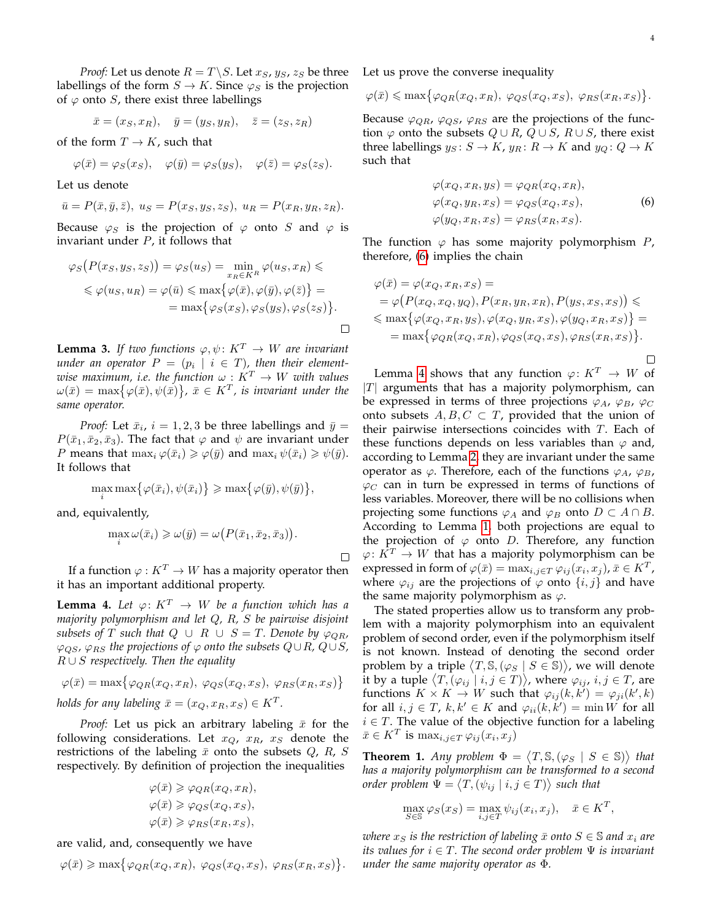<span id="page-3-0"></span> $\Box$ 

*Proof:* Let us denote  $R = T \setminus S$ . Let  $x_S$ ,  $y_S$ ,  $z_S$  be three labellings of the form  $S \to K$ . Since  $\varphi_S$  is the projection of  $\varphi$  onto S, there exist three labellings

$$
\bar{x} = (x_S, x_R), \quad \bar{y} = (y_S, y_R), \quad \bar{z} = (z_S, z_R)
$$

of the form  $T \to K$ , such that

$$
\varphi(\bar{x}) = \varphi_S(x_S), \quad \varphi(\bar{y}) = \varphi_S(y_S), \quad \varphi(\bar{z}) = \varphi_S(z_S).
$$

Let us denote

$$
\bar{u} = P(\bar{x}, \bar{y}, \bar{z}), u_S = P(x_S, y_S, z_S), u_R = P(x_R, y_R, z_R).
$$

Because  $\varphi_S$  is the projection of  $\varphi$  onto S and  $\varphi$  is invariant under  $P$ , it follows that

$$
\varphi_S(P(x_S, y_S, z_S)) = \varphi_S(u_S) = \min_{x_R \in K^R} \varphi(u_S, x_R) \le
$$
  

$$
\leq \varphi(u_S, u_R) = \varphi(\bar{u}) \leq \max{\varphi(\bar{x}), \varphi(\bar{y}), \varphi(\bar{z})} =
$$
  

$$
= \max{\varphi_S(x_S), \varphi_S(y_S), \varphi_S(z_S)}.
$$

<span id="page-3-2"></span>**Lemma 3.** *If two functions*  $\varphi, \psi \colon K^T \to W$  *are invariant*  $\emph{under an operator } P \, = \, (p_i \, \mid \, i \, \in \, T)$ , then their element*wise maximum, i.e. the function*  $\omega: K^T \to W$  *with values*  $\omega(\bar{x}) = \max\{\varphi(\bar{x}), \psi(\bar{x})\}, \ \bar{x} \in K^T$ , is invariant under the *same operator.*

*Proof:* Let  $\bar{x}_i$ ,  $i = 1, 2, 3$  be three labellings and  $\bar{y} =$  $P(\bar{x}_1, \bar{x}_2, \bar{x}_3)$ . The fact that  $\varphi$  and  $\psi$  are invariant under *P* means that  $\max_i \varphi(\bar{x}_i) \geq \varphi(\bar{y})$  and  $\max_i \psi(\bar{x}_i) \geq \psi(\bar{y})$ . It follows that

$$
\max_{i} \max \{ \varphi(\bar{x}_i), \psi(\bar{x}_i) \} \ge \max \{ \varphi(\bar{y}), \psi(\bar{y}) \},
$$

and, equivalently,

$$
\max_{i} \omega(\bar{x}_i) \geqslant \omega(\bar{y}) = \omega(P(\bar{x}_1, \bar{x}_2, \bar{x}_3)).
$$

 $\Box$ 

If a function  $\varphi: K^T \to W$  has a majority operator then it has an important additional property.

<span id="page-3-1"></span>**Lemma 4.** Let  $\varphi: K^T \to W$  be a function which has a *majority polymorphism and let* Q*,* R*,* S *be pairwise disjoint subsets of* T *such that*  $Q \cup R \cup S = T$ *. Denote by*  $\varphi_{QR}$ *,*  $\varphi_{OS}$ ,  $\varphi_{RS}$  *the projections of*  $\varphi$  *onto the subsets*  $Q \cup R$ ,  $Q \cup S$ , R ∪ S *respectively. Then the equality*

$$
\varphi(\bar{x}) = \max \{ \varphi_{QR}(x_Q, x_R), \ \varphi_{QS}(x_Q, x_S), \ \varphi_{RS}(x_R, x_S) \}
$$
  
holds for any labeling  $\bar{x} = (x_Q, x_R, x_S) \in K^T$ .

*Proof:* Let us pick an arbitrary labeling  $\bar{x}$  for the following considerations. Let  $x_Q$ ,  $x_R$ ,  $x_S$  denote the restrictions of the labeling  $\bar{x}$  onto the subsets  $Q$ , R, S respectively. By definition of projection the inequalities

$$
\varphi(\bar{x}) \geqslant \varphi_{QR}(x_Q, x_R),
$$
  

$$
\varphi(\bar{x}) \geqslant \varphi_{QS}(x_Q, x_S),
$$
  

$$
\varphi(\bar{x}) \geqslant \varphi_{RS}(x_R, x_S),
$$

are valid, and, consequently we have

$$
\varphi(\bar{x}) \ge \max\{\varphi_{QR}(x_Q, x_R), \ \varphi_{QS}(x_Q, x_S), \ \varphi_{RS}(x_R, x_S)\}.
$$

Let us prove the converse inequality

$$
\varphi(\bar{x}) \le \max\{\varphi_{QR}(x_Q, x_R), \ \varphi_{QS}(x_Q, x_S), \ \varphi_{RS}(x_R, x_S)\}.
$$

Because  $\varphi_{QR}$ ,  $\varphi_{QS}$ ,  $\varphi_{RS}$  are the projections of the function  $\varphi$  onto the subsets  $Q \cup R$ ,  $Q \cup S$ ,  $R \cup S$ , there exist three labellings  $y_S : S \to K$ ,  $y_R : R \to K$  and  $y_Q : Q \to K$ such that

$$
\varphi(x_Q, x_R, y_S) = \varphi_{QR}(x_Q, x_R),
$$
  
\n
$$
\varphi(x_Q, y_R, x_S) = \varphi_{QS}(x_Q, x_S),
$$
  
\n
$$
\varphi(y_Q, x_R, x_S) = \varphi_{RS}(x_R, x_S).
$$
\n(6)

The function  $\varphi$  has some majority polymorphism  $P$ , therefore, [\(6\)](#page-3-0) implies the chain

$$
\varphi(\bar{x}) = \varphi(x_Q, x_R, x_S) =
$$
  
\n
$$
= \varphi(P(x_Q, x_Q, y_Q), P(x_R, y_R, x_R), P(y_S, x_S, x_S)) \le
$$
  
\n
$$
\le \max\{\varphi(x_Q, x_R, y_S), \varphi(x_Q, y_R, x_S), \varphi(y_Q, x_R, x_S)\} =
$$
  
\n
$$
= \max\{\varphi_{QR}(x_Q, x_R), \varphi_{QS}(x_Q, x_S), \varphi_{RS}(x_R, x_S)\}.
$$

Lemma [4](#page-3-1) shows that any function  $\varphi: K^T \to W$  of  $|T|$  arguments that has a majority polymorphism, can be expressed in terms of three projections  $\varphi_A$ ,  $\varphi_B$ ,  $\varphi_C$ onto subsets  $A, B, C \subset T$ , provided that the union of their pairwise intersections coincides with T. Each of these functions depends on less variables than  $\varphi$  and, according to Lemma [2,](#page-2-6) they are invariant under the same operator as  $\varphi$ . Therefore, each of the functions  $\varphi_A$ ,  $\varphi_B$ ,  $\varphi_C$  can in turn be expressed in terms of functions of less variables. Moreover, there will be no collisions when projecting some functions  $\varphi_A$  and  $\varphi_B$  onto  $D \subset A \cap B$ . According to Lemma [1,](#page-2-7) both projections are equal to the projection of  $\varphi$  onto D. Therefore, any function  $\varphi: K^T \to W$  that has a majority polymorphism can be expressed in form of  $\varphi(\bar{x}) = \max_{i,j \in T} \varphi_{ij}(x_i, x_j), \bar{x} \in K^T$ , where  $\varphi_{ij}$  are the projections of  $\varphi$  onto  $\{i, j\}$  and have the same majority polymorphism as  $\varphi$ .

The stated properties allow us to transform any problem with a majority polymorphism into an equivalent problem of second order, even if the polymorphism itself is not known. Instead of denoting the second order problem by a triple  $\langle T, \mathbb{S}, (\varphi_S \mid S \in \mathbb{S}) \rangle$ , we will denote it by a tuple  $\langle T, (\varphi_{ij} \mid i,j \in T) \rangle$ , where  $\varphi_{ij}$ ,  $i,j \in T$ , are functions  $K \times K \to W$  such that  $\varphi_{ij}(k, k') = \varphi_{ji}(k', k)$ for all  $i, j \in T$ ,  $k, k' \in K$  and  $\varphi_{ii}(k, k') = \min W$  for all  $i \in T$ . The value of the objective function for a labeling  $\bar{x} \in K^T$  is  $\max_{i,j \in T} \varphi_{ij}(x_i, x_j)$ 

**Theorem 1.** Any problem  $\Phi = \langle T, \mathbb{S}, (\varphi_S \mid S \in \mathbb{S}) \rangle$  that *has a majority polymorphism can be transformed to a second order problem*  $\Psi = \langle T, (\psi_{ij} \mid i, j \in T) \rangle$  *such that* 

$$
\max_{S \in \mathbb{S}} \varphi_S(x_S) = \max_{i,j \in T} \psi_{ij}(x_i, x_j), \quad \bar{x} \in K^T,
$$

*where*  $x_S$  *is the restriction of labeling*  $\bar{x}$  *onto*  $S \in \mathbb{S}$  *and*  $x_i$  *are its values for*  $i \in T$ *. The second order problem*  $\Psi$  *is invariant under the same majority operator as* Φ*.*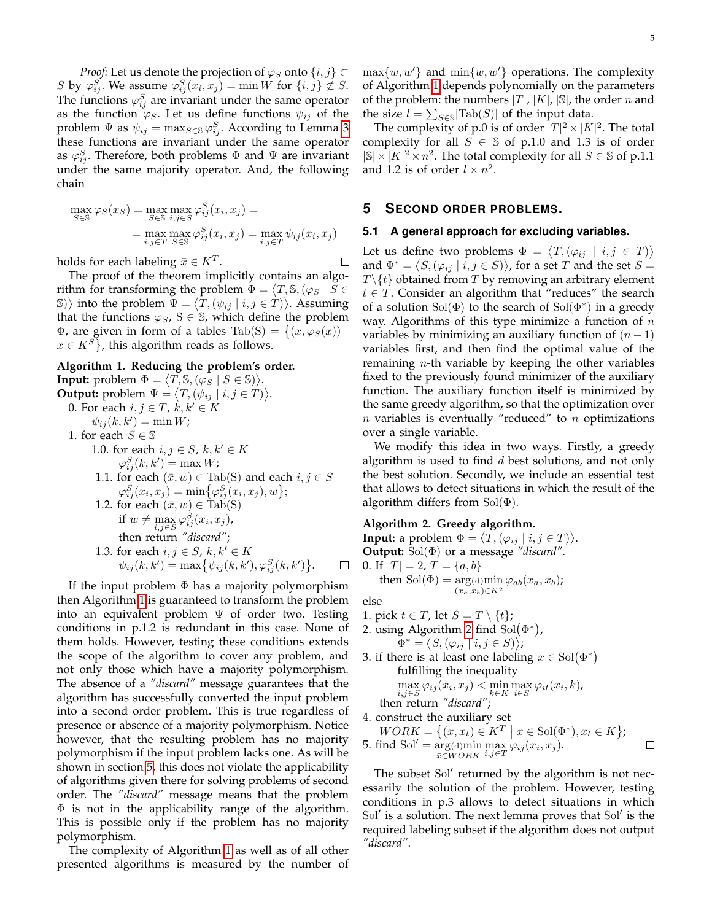*Proof:* Let us denote the projection of  $\varphi_S$  onto  $\{i, j\} \subset$ S by  $\varphi_{ij}^S$ . We assume  $\varphi_{ij}^S(x_i, x_j) = \min W$  for  $\{i, j\} \not\subset S$ . The functions  $\varphi_{ij}^S$  are invariant under the same operator as the function  $\varphi_S$ . Let us define functions  $\psi_{ij}$  of the problem  $\Psi$  as  $\psi_{ij} = \max_{S \in \mathbb{S}} \varphi_{ij}^S$ . According to Lemma [3](#page-3-2) these functions are invariant under the same operator as  $\varphi_{ij}^S$ . Therefore, both problems  $\Phi$  and  $\Psi$  are invariant under the same majority operator. And, the following chain

$$
\max_{S \in \mathbb{S}} \varphi_S(x_S) = \max_{S \in \mathbb{S}} \max_{i,j \in S} \varphi_{ij}^S(x_i, x_j) =
$$

$$
= \max_{i,j \in T} \max_{S \in \mathbb{S}} \varphi_{ij}^S(x_i, x_j) = \max_{i,j \in T} \psi_{ij}(x_i, x_j)
$$

holds for each labeling  $\bar{x} \in K^T$ .

The proof of the theorem implicitly contains an algorithm for transforming the problem  $\Phi = \langle T, \mathbb{S}, (\varphi_S \mid \check{S}) \rangle$ S) $\rangle$  into the problem  $\Psi = \langle \hat{T}, (\psi_{ij} \mid i, j \in \hat{T}) \rangle$ . Assuming that the functions  $\varphi_S$ ,  $S \in \mathbb{S}$ , which define the problem Φ, are given in form of a tables Tab(S) =  $\{(x, \varphi_S(x)) \mid$  $x \in K^S$ , this algorithm reads as follows.

## <span id="page-4-1"></span>**Algorithm 1. Reducing the problem's order.**

**Input:** problem  $\Phi = \langle T, \mathbb{S}, (\varphi_S \mid S \in \mathbb{S}) \rangle$ . **Output:** problem  $\Psi = \langle T, (\psi_{ij} \mid i, j \in T) \rangle$ . 0. For each  $i, j \in T$ ,  $k, k' \in K$  $\psi_{ij}(k, k') = \min W;$ 1. for each  $S \in \mathbb{S}$ 1.0. for each  $i, j \in S$ ,  $k, k' \in K$  $\varphi_{ij}^S(k,k') = \max W;$ 1.1. for each  $(\bar{x}, w) \in \text{Tab}(S)$  and each  $i, j \in S$  $\varphi^S_{ij}(x_i,x_j) = \min\{\varphi^S_{ij}(x_i,x_j),w\};$ 1.2. for each  $(\bar{x}, w) \in \text{Tab}(S)$ if  $w \neq \max_{i,j \in S} \varphi_{ij}^S(x_i, x_j)$ , then return *"discard"*; 1.3. for each  $i, j \in S$ ,  $k, k' \in K$  $\psi_{ij}(k, k') = \max \{ \psi_{ij}(k, k'), \varphi_{ij}^{S}(k, k') \}.$  $\Box$ 

If the input problem  $\Phi$  has a majority polymorphism then Algorithm [1](#page-4-1) is guaranteed to transform the problem into an equivalent problem  $\Psi$  of order two. Testing conditions in p.1.2 is redundant in this case. None of them holds. However, testing these conditions extends the scope of the algorithm to cover any problem, and not only those which have a majority polymorphism. The absence of a *"discard"* message guarantees that the algorithm has successfully converted the input problem into a second order problem. This is true regardless of presence or absence of a majority polymorphism. Notice however, that the resulting problem has no majority polymorphism if the input problem lacks one. As will be shown in section [5,](#page-4-0) this does not violate the applicability of algorithms given there for solving problems of second order. The *"discard"* message means that the problem Φ is not in the applicability range of the algorithm. This is possible only if the problem has no majority polymorphism.

The complexity of Algorithm [1](#page-4-1) as well as of all other presented algorithms is measured by the number of  $\max\{w, w'\}$  and  $\min\{w, w'\}$  operations. The complexity of Algorithm [1](#page-4-1) depends polynomially on the parameters of the problem: the numbers  $|T|$ ,  $|K|$ ,  $|\mathbb{S}|$ , the order n and the size  $l = \sum_{S \in \mathbb{S}} |\text{Tab}(S)|$  of the input data.

The complexity of p.0 is of order  $|T|^2 \times |K|^2$ . The total complexity for all  $S \in \mathbb{S}$  of p.1.0 and 1.3 is of order  $|\mathbb{S}| \times |K|^2 \times n^2$ . The total complexity for all  $S \in \mathbb{S}$  of p.1.1 and 1.2 is of order  $l \times n^2$ .

## <span id="page-4-0"></span>**5 SECOND ORDER PROBLEMS.**

#### **5.1 A general approach for excluding variables.**

Let us define two problems  $\Phi = \langle T, (\varphi_{ij} \mid i, j \in T) \rangle$ and  $\Phi^* = \langle S, (\varphi_{ij} \mid i, j \in S) \rangle$ , for a set T and the set  $S =$  $T \setminus \{t\}$  obtained from T by removing an arbitrary element  $t \in T$ . Consider an algorithm that "reduces" the search of a solution  $Sol(\Phi)$  to the search of  $Sol(\Phi^*)$  in a greedy way. Algorithms of this type minimize a function of  $n$ variables by minimizing an auxiliary function of  $(n - 1)$ variables first, and then find the optimal value of the remaining  $n$ -th variable by keeping the other variables fixed to the previously found minimizer of the auxiliary function. The auxiliary function itself is minimized by the same greedy algorithm, so that the optimization over  $n$  variables is eventually "reduced" to  $n$  optimizations over a single variable.

We modify this idea in two ways. Firstly, a greedy algorithm is used to find  $d$  best solutions, and not only the best solution. Secondly, we include an essential test that allows to detect situations in which the result of the algorithm differs from  $Sol(\Phi)$ .

#### <span id="page-4-2"></span>**Algorithm 2. Greedy algorithm.**

**Input:** a problem  $\Phi = \langle T, (\varphi_{ij} \mid i, j \in T) \rangle$ . **Output:** Sol(Φ) or a message *"discard"*. 0. If  $|T| = 2$ ,  $T = \{a, b\}$ then  $Sol(\Phi) = arg(d)$ min  $\arg(\mathrm{d}) \min_{(x_a,x_b)\in K^2} \varphi_{ab}(x_a,x_b);$ 

else

 $\Box$ 

- 1. pick  $t \in T$ , let  $S = T \setminus \{t\}$ ;
- 2. using Algorithm [2](#page-4-2) find  $Sol(\Phi^*)$ ,  $\Phi^* = \langle S, (\varphi_{ij} \mid i, j \in S) \rangle;$
- 3. if there is at least one labeling  $x \in Sol(\Phi^*)$ fulfilling the inequality

$$
\max_{i,j \in S} \varphi_{ij}(x_i, x_j) < \min_{k \in K} \max_{i \in S} \varphi_{it}(x_i, k),
$$

 $i,j \in S$ <sup>k∈K</sup><br>then return *"discard"*;

4. construct the auxiliary set

$$
WORK = \{(x, x_t) \in K^T \mid x \in Sol(\Phi^*), x_t \in K\};
$$
  
5. find Sol' = arg(d)min max  $\varphi_{ij}(x_i, x_j)$ .

The subset Sol' returned by the algorithm is not necessarily the solution of the problem. However, testing conditions in p.3 allows to detect situations in which Sol' is a solution. The next lemma proves that Sol' is the required labeling subset if the algorithm does not output *"discard"*.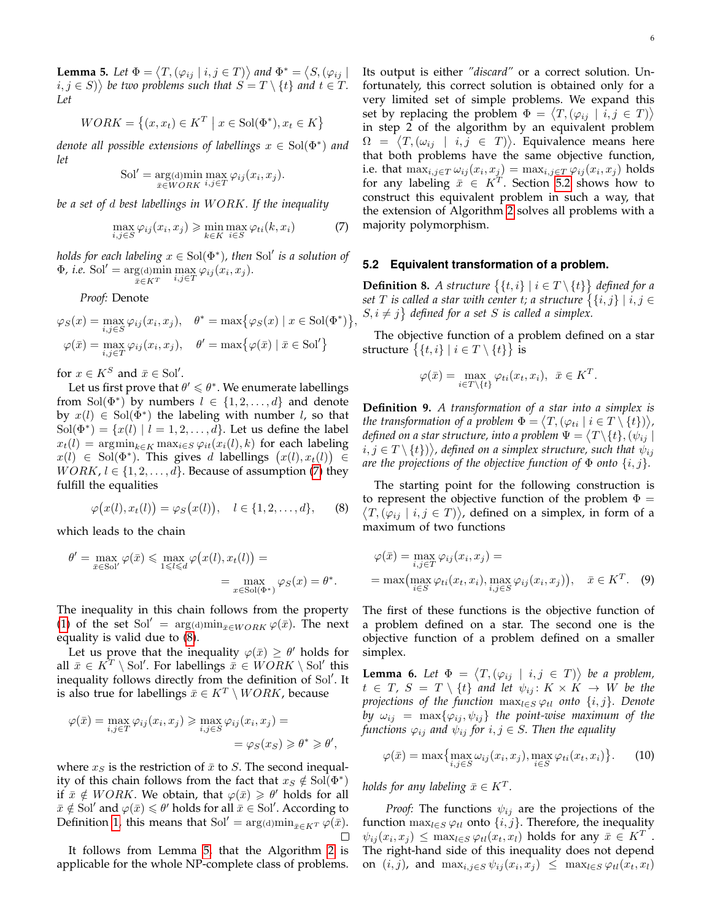<span id="page-5-2"></span>**Lemma 5.** Let  $\Phi = \langle T, (\varphi_{ij} \mid i, j \in T) \rangle$  and  $\Phi^* = \langle S, (\varphi_{ij} \mid$  $(i, j \in S)$ ) be two problems such that  $S = T \setminus \{t\}$  and  $t \in T$ . *Let*

$$
WORK = \{(x, x_t) \in K^T \mid x \in Sol(\Phi^*), x_t \in K\}
$$

*denote all possible extensions of labellings* x ∈ Sol(Φ<sup>∗</sup> ) *and let*

$$
Sol' = \underset{\bar{x} \in WORK}{\arg(\text{d})} \underset{i,j \in T}{\min} \underset{\varphi_{ij}(x_i, x_j)}{\max} \mathcal{\varphi}_{ij}(x_i, x_j).
$$

*be a set of* d *best labellings in* W ORK*. If the inequality*

<span id="page-5-0"></span>
$$
\max_{i,j \in S} \varphi_{ij}(x_i, x_j) \geq \min_{k \in K} \max_{i \in S} \varphi_{ti}(k, x_i)
$$
 (7)

*holds for each labeling*  $x \in Sol(\Phi^*)$ , then Sol $'$  is a solution of  $\Phi$ , *i.e.* Sol<sup>'</sup> = arg(d)min  $\max_{i,j\in T} \varphi_{ij}(x_i,x_j).$ 

*Proof:* Denote

$$
\varphi_S(x) = \max_{i,j \in S} \varphi_{ij}(x_i, x_j), \quad \theta^* = \max \{ \varphi_S(x) \mid x \in Sol(\Phi^*) \}
$$

$$
\varphi(\bar{x}) = \max_{i,j \in T} \varphi_{ij}(x_i, x_j), \quad \theta' = \max \{ \varphi(\bar{x}) \mid \bar{x} \in Sol' \}
$$

for  $x \in K^S$  and  $\bar{x} \in Sol'$ .

Let us first prove that  $\theta' \leq \theta^*$ . We enumerate labellings from Sol $(\Phi^*)$  by numbers  $l \in \{1, 2, ..., d\}$  and denote by  $x(l) \in Sol(\Phi^*)$  the labeling with number l, so that  $Sol(\Phi^*) = \{x(l) | l = 1, 2, \ldots, d\}$ . Let us define the label  $x_t(l) = \operatorname{argmin}_{k \in K} \operatorname{max}_{i \in S} \varphi_{it}(x_i(l), k)$  for each labeling  $x(l) \in Sol(\Phi^*)$ . This gives d labellings  $(x(l), x_t(l)) \in$  $WORK, l \in \{1, 2, \ldots, d\}$ . Because of assumption [\(7\)](#page-5-0) they fulfill the equalities

<span id="page-5-1"></span>
$$
\varphi(x(l), x_t(l)) = \varphi_S(x(l)), \quad l \in \{1, 2, \dots, d\}, \qquad (8)
$$

which leads to the chain

$$
\theta' = \max_{\bar{x} \in \text{Sol}'} \varphi(\bar{x}) \le \max_{1 \le l \le d} \varphi(x(l), x_t(l)) =
$$
  
= 
$$
\max_{x \in \text{Sol}(\Phi^*)} \varphi_S(x) = \theta^*.
$$

The inequality in this chain follows from the property [\(1\)](#page-1-4) of the set Sol<sup>'</sup> = arg(d)min<sub> $\bar{x} \in WORK \varphi(\bar{x})$ . The next</sub> equality is valid due to [\(8\)](#page-5-1).

Let us prove that the inequality  $\varphi(\bar{x}) \geq \theta'$  holds for all  $\bar{x} \in K^T \setminus \text{Sol}'$ . For labellings  $\bar{x} \in WORK \setminus \text{Sol}'$  this inequality follows directly from the definition of Sol'. It is also true for labellings  $\bar{x} \in K^T \setminus WORK$ , because

$$
\varphi(\bar{x}) = \max_{i,j \in T} \varphi_{ij}(x_i, x_j) \ge \max_{i,j \in S} \varphi_{ij}(x_i, x_j) =
$$
  
= 
$$
\varphi_S(x_S) \ge \theta^* \ge \theta',
$$

where  $x<sub>S</sub>$  is the restriction of  $\bar{x}$  to S. The second inequality of this chain follows from the fact that  $x_S \notin Sol(\Phi^*)$ if  $\bar{x} \notin WORK$ . We obtain, that  $\varphi(\bar{x}) \geq \theta'$  holds for all  $\bar{x} \notin$  Sol' and  $\varphi(\bar{x}) \leq \theta'$  holds for all  $\bar{x} \in$  Sol'. According to Definition [1,](#page-1-5) this means that Sol<sup> $\prime$ </sup> = arg(d)min<sub> $\bar{x} \in K^T \varphi(\bar{x})$ .</sub>  $\Box$ 

It follows from Lemma [5,](#page-5-2) that the Algorithm [2](#page-4-2) is applicable for the whole NP-complete class of problems. Its output is either *"discard"* or a correct solution. Unfortunately, this correct solution is obtained only for a very limited set of simple problems. We expand this set by replacing the problem  $\Phi = \langle T, (\varphi_{ij} \mid i,j \in T) \rangle$ in step 2 of the algorithm by an equivalent problem  $\Omega = \langle T, (\omega_{ij} \mid i,j \in T) \rangle$ . Equivalence means here that both problems have the same objective function, i.e. that  $\max_{i,j\in T}\omega_{ij}(x_i,x_j)=\max_{i,j\in T}\varphi_{ij}(x_i,x_j)$  holds for any labeling  $\bar{x} \in K^T$ . Section [5.2](#page-5-3) shows how to construct this equivalent problem in such a way, that the extension of Algorithm [2](#page-4-2) solves all problems with a majority polymorphism.

#### <span id="page-5-3"></span>**5.2 Equivalent transformation of a problem.**

,

**Definition 8.** *A structure*  $\{\{t, i\} | i \in T \setminus \{t\}\}\$  defined for a set T is called a star with center t; a structure  $\big\{\{i,j\} \mid i,j \in I\big\}$  $S, i \neq j$  defined for a set S is called a simplex.

The objective function of a problem defined on a star structure  $\big\{\{t,i\} \mid i \in T \setminus \{t\}\big\}$  is

$$
\varphi(\bar{x}) = \max_{i \in T \setminus \{t\}} \varphi_{ti}(x_t, x_i), \ \ \bar{x} \in K^T.
$$

**Definition 9.** *A transformation of a star into a simplex is* the transformation of a problem  $\Phi = \langle T, (\varphi_{ti} \mid i \in T \setminus \{t\}) \rangle$ , defined on a star structure, into a problem  $\Psi = \big\langle T \backslash \{t\}, (\psi_{ij} \mid$  $i,j\in T\!\setminus\!\{t\})\big\rangle$ , defined on a simplex structure, such that  $\psi_{ij}$ *are the projections of the objective function of*  $\Phi$  *onto*  $\{i, j\}$ *.* 

The starting point for the following construction is to represent the objective function of the problem  $\Phi =$  $\langle T, (\varphi_{ij} \mid i, j \in T) \rangle$ , defined on a simplex, in form of a maximum of two functions

<span id="page-5-5"></span>
$$
\varphi(\bar{x}) = \max_{i,j \in T} \varphi_{ij}(x_i, x_j) =
$$
  
= max $\left(\max_{i \in S} \varphi_{ti}(x_t, x_i), \max_{i,j \in S} \varphi_{ij}(x_i, x_j)\right), \quad \bar{x} \in K^T.$  (9)

The first of these functions is the objective function of a problem defined on a star. The second one is the objective function of a problem defined on a smaller simplex.

<span id="page-5-6"></span>**Lemma 6.** Let  $\Phi = \langle T, (\varphi_{ij} \mid i, j \in T) \rangle$  be a problem,  $t \in T$ ,  $S = T \setminus \{t\}$  and let  $\psi_{ij} : K \times K \to W$  be the *projections of the function*  $\max_{l \in S} \varphi_{tl}$  *onto*  $\{i, j\}$ *. Denote by*  $\omega_{ij}$  =  $\max{\lbrace \varphi_{ij}, \psi_{ij} \rbrace}$  *the point-wise maximum of the functions*  $\varphi_{ij}$  *and*  $\psi_{ij}$  *for*  $i, j \in S$ *. Then the equality* 

<span id="page-5-4"></span>
$$
\varphi(\bar{x}) = \max\left\{\max_{i,j \in S} \omega_{ij}(x_i, x_j), \max_{i \in S} \varphi_{ti}(x_t, x_i)\right\}.
$$
 (10)

*holds for any labeling*  $\bar{x} \in K^T$ *.* 

*Proof:* The functions  $\psi_{ij}$  are the projections of the function  $\max_{l \in S} \varphi_{tl}$  onto  $\{i, j\}$ . Therefore, the inequality  $\psi_{ij}(x_i, x_j) \leq \max_{l \in S} \varphi_{tl}(x_t, x_l)$  holds for any  $\bar{x} \in K^T$ . The right-hand side of this inequality does not depend on  $(i, j)$ , and  $\max_{i, j \in S} \psi_{ij}(x_i, x_j) \leq \max_{l \in S} \varphi_{tl}(x_t, x_l)$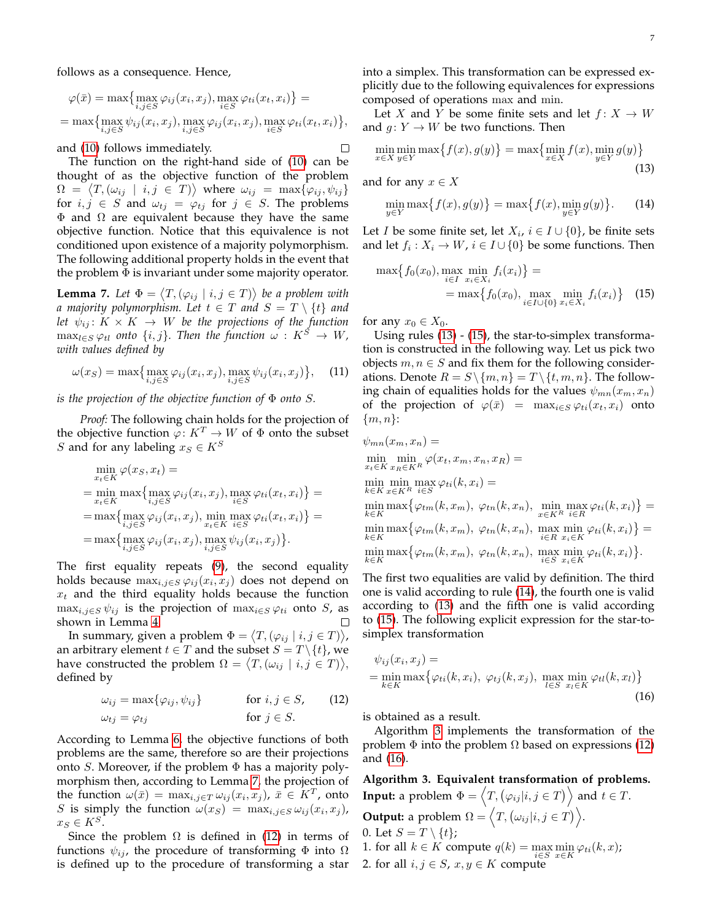follows as a consequence. Hence,

$$
\varphi(\bar{x}) = \max \{ \max_{i,j \in S} \varphi_{ij}(x_i, x_j), \max_{i \in S} \varphi_{ti}(x_t, x_i) \} =
$$
  
= 
$$
\max \{ \max_{i,j \in S} \psi_{ij}(x_i, x_j), \max_{i,j \in S} \varphi_{ij}(x_i, x_j), \max_{i \in S} \varphi_{ti}(x_t, x_i) \},\
$$

and [\(10\)](#page-5-4) follows immediately.

The function on the right-hand side of [\(10\)](#page-5-4) can be thought of as the objective function of the problem  $\Omega = \langle T, (\omega_{ij} \mid i,j \in T) \rangle$  where  $\omega_{ij} = \max{\{\varphi_{ij}, \psi_{ij}\}}$ for  $i, j \in S$  and  $\omega_{tj} = \varphi_{tj}$  for  $j \in S$ . The problems  $Φ$  and  $Ω$  are equivalent because they have the same objective function. Notice that this equivalence is not conditioned upon existence of a majority polymorphism. The following additional property holds in the event that the problem  $\Phi$  is invariant under some majority operator.

<span id="page-6-0"></span>**Lemma 7.** Let  $\Phi = \langle T, (\varphi_{ij} \mid i, j \in T) \rangle$  be a problem with *a majority polymorphism. Let*  $t \in T$  *and*  $S = T \setminus \{t\}$  *and let*  $\psi_{ij}$ :  $K \times K \rightarrow W$  *be the projections of the function*  $\max_{l \in S} \varphi_{tl}$  *onto*  $\{i, j\}$ *. Then the function*  $\omega : K^S \to W$ , *with values defined by*

$$
\omega(x_S) = \max\left\{\max_{i,j \in S} \varphi_{ij}(x_i, x_j), \max_{i,j \in S} \psi_{ij}(x_i, x_j)\right\},\tag{11}
$$

*is the projection of the objective function of* Φ *onto* S*.*

*Proof:* The following chain holds for the projection of the objective function  $\varphi: K^T \to W$  of  $\Phi$  onto the subset S and for any labeling  $x_S \in K^S$ 

$$
\min_{x_t \in K} \varphi(x_S, x_t) =
$$
\n
$$
= \min_{x_t \in K} \max \{ \max_{i,j \in S} \varphi_{ij}(x_i, x_j), \max_{i \in S} \varphi_{ti}(x_t, x_i) \} =
$$
\n
$$
= \max \{ \max_{i,j \in S} \varphi_{ij}(x_i, x_j), \min_{x_t \in K} \max_{i \in S} \varphi_{ti}(x_t, x_i) \} =
$$
\n
$$
= \max \{ \max_{i,j \in S} \varphi_{ij}(x_i, x_j), \max_{i,j \in S} \psi_{ij}(x_i, x_j) \}.
$$

The first equality repeats [\(9\)](#page-5-5), the second equality holds because  $\max_{i,j\in S}\varphi_{ij}(x_i,x_j)$  does not depend on  $x_t$  and the third equality holds because the function  $\max_{i,j\in S}\psi_{ij}$  is the projection of  $\max_{i\in S}\varphi_{ti}$  onto S, as shown in Lemma [4.](#page-3-1) П

In summary, given a problem  $\Phi = \langle T, (\varphi_{ij} \mid i,j \in T) \rangle$ , an arbitrary element  $t \in T$  and the subset  $S = T \setminus \{t\}$ , we have constructed the problem  $\Omega = \langle T, (\omega_{ij} \mid i, j \in T) \rangle$ , defined by

$$
\omega_{ij} = \max\{\varphi_{ij}, \psi_{ij}\} \quad \text{for } i, j \in S, \quad (12)
$$
  

$$
\omega_{tj} = \varphi_{tj} \quad \text{for } j \in S.
$$

According to Lemma [6,](#page-5-6) the objective functions of both problems are the same, therefore so are their projections onto S. Moreover, if the problem  $\Phi$  has a majority polymorphism then, according to Lemma [7,](#page-6-0) the projection of the function  $\omega(\bar{x}) = \max_{i,j \in T} \omega_{ij}(x_i, x_j)$ ,  $\bar{x} \in K^T$ , onto S is simply the function  $\omega(x_S) = \max_{i,j \in S} \omega_{ij}(x_i, x_j)$ ,  $x_S \in K^S$ .

Since the problem  $\Omega$  is defined in [\(12\)](#page-6-1) in terms of functions  $\psi_{ij}$ , the procedure of transforming  $\Phi$  into  $\Omega$ is defined up to the procedure of transforming a star into a simplex. This transformation can be expressed explicitly due to the following equivalences for expressions composed of operations max and min.

Let X and Y be some finite sets and let  $f: X \to W$ and  $g: Y \to W$  be two functions. Then

<span id="page-6-2"></span>
$$
\min_{x \in X} \min_{y \in Y} \max\{f(x), g(y)\} = \max\{\min_{x \in X} f(x), \min_{y \in Y} g(y)\}\tag{13}
$$

and for any  $x \in X$ 

 $\Box$ 

<span id="page-6-4"></span>
$$
\min_{y \in Y} \max\{f(x), g(y)\} = \max\{f(x), \min_{y \in Y} g(y)\}.
$$
 (14)

Let *I* be some finite set, let  $X_i$ ,  $i \in I \cup \{0\}$ , be finite sets and let  $f_i: X_i \to W$ ,  $i \in I \cup \{0\}$  be some functions. Then

<span id="page-6-3"></span>
$$
\max\{f_0(x_0), \max_{i \in I} \min_{x_i \in X_i} f_i(x_i)\} = \n= \max\{f_0(x_0), \max_{i \in I \cup \{0\}} \min_{x_i \in X_i} f_i(x_i)\} \quad (15)
$$

for any  $x_0 \in X_0$ .

Using rules [\(13\)](#page-6-2) - [\(15\)](#page-6-3), the star-to-simplex transformation is constructed in the following way. Let us pick two objects  $m, n \in S$  and fix them for the following considerations. Denote  $R = S \setminus \{m, n\} = T \setminus \{t, m, n\}$ . The following chain of equalities holds for the values  $\psi_{mn}(x_m, x_n)$ of the projection of  $\varphi(\bar{x}) = \max_{i \in S} \varphi_{ti}(x_t, x_i)$  onto  $\{m,n\}$ :

$$
\psi_{mn}(x_m, x_n) =
$$
\n
$$
\min_{x_t \in K} \min_{x_R \in K^R} \varphi(x_t, x_m, x_n, x_R) =
$$
\n
$$
\min_{k \in K} \min_{x \in K^R} \max_{i \in S} \varphi_{ti}(k, x_i) =
$$
\n
$$
\min_{k \in K} \max \{ \varphi_{tm}(k, x_m), \varphi_{tn}(k, x_n), \min_{x \in K^R} \max_{i \in R} \varphi_{ti}(k, x_i) \} =
$$
\n
$$
\min_{k \in K} \max \{ \varphi_{tm}(k, x_m), \varphi_{tn}(k, x_n), \max_{i \in R} \min_{x_i \in K} \varphi_{ti}(k, x_i) \} =
$$
\n
$$
\min_{k \in K} \max \{ \varphi_{tm}(k, x_m), \varphi_{tn}(k, x_n), \max_{i \in S} \min_{x_i \in K} \varphi_{ti}(k, x_i) \}.
$$

The first two equalities are valid by definition. The third one is valid according to rule [\(14\)](#page-6-4), the fourth one is valid according to [\(13\)](#page-6-2) and the fifth one is valid according to [\(15\)](#page-6-3). The following explicit expression for the star-tosimplex transformation

<span id="page-6-6"></span>
$$
\psi_{ij}(x_i, x_j) =
$$
  
= min max{ $\varphi_{ti}(k, x_i)$ ,  $\varphi_{tj}(k, x_j)$ , max min  $\varphi_{tl}(k, x_l)$ }  
(16)

<span id="page-6-1"></span>is obtained as a result.

Algorithm [3](#page-6-5) implements the transformation of the problem  $\Phi$  into the problem  $\Omega$  based on expressions [\(12\)](#page-6-1) and [\(16\)](#page-6-6).

<span id="page-6-5"></span>**Algorithm 3. Equivalent transformation of problems.**

**Input:** a problem  $\Phi = \langle T, (\varphi_{ij} | i, j \in T) \rangle$  and  $t \in T$ . **Output:** a problem  $\Omega = \langle T, (\omega_{ij} | i, j \in T) \rangle$ . 0. Let  $S = T \setminus \{t\}$ ; 1. for all  $k \in K$  compute  $q(k) = \max_{i \in S} \min_{x \in K} \varphi_{ti}(k, x)$ ; 2. for all  $i, j \in S$ ,  $x, y \in K$  compute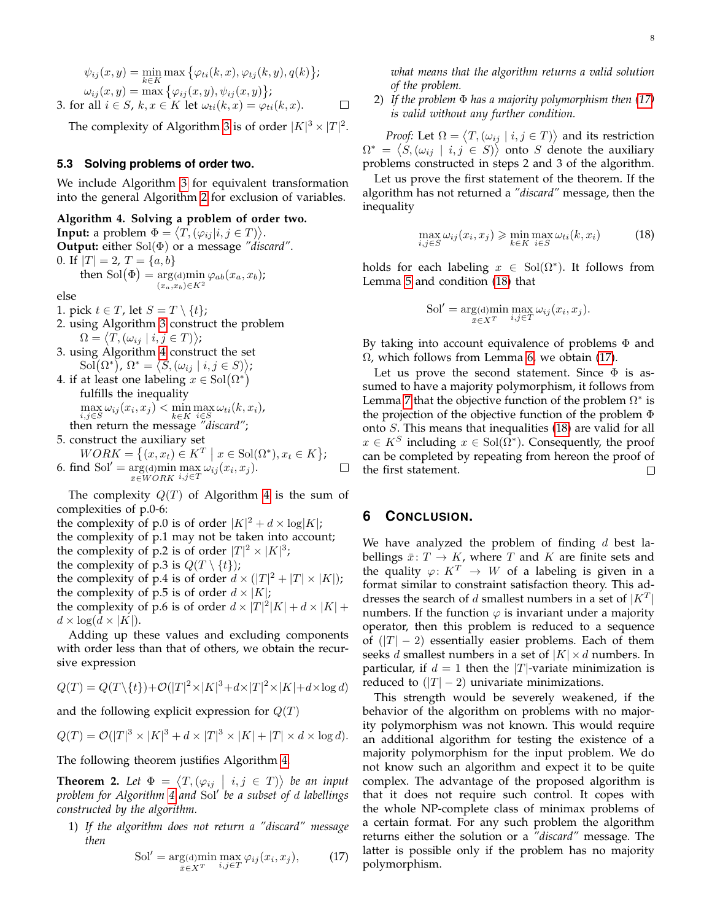$$
\psi_{ij}(x, y) = \min_{k \in K} \max \{ \varphi_{ti}(k, x), \varphi_{tj}(k, y), q(k) \};
$$
  
\n
$$
\omega_{ij}(x, y) = \max \{ \varphi_{ij}(x, y), \psi_{ij}(x, y) \};
$$
  
\n3. for all  $i \in S$ ,  $k, x \in K$  let  $\omega_{ti}(k, x) = \varphi_{ti}(k, x)$ .

The complexity of Algorithm [3](#page-6-5) is of order  $|K|^3 \times |T|^2$ .

#### **5.3 Solving problems of order two.**

We include Algorithm [3](#page-6-5) for equivalent transformation into the general Algorithm [2](#page-4-2) for exclusion of variables.

### <span id="page-7-0"></span>**Algorithm 4. Solving a problem of order two.**

**Input:** a problem  $\Phi = \langle T, (\varphi_{ij} | i, j \in T) \rangle$ . **Output:** either Sol(Φ) or a message *"discard"*. 0. If  $|T| = 2$ ,  $T = \{a, b\}$ then Sol $(\Phi) = \arg(\mathrm{d})$ min  $\varphi_{ab}(x_a, x_b)$ ;  $(x_a,x_b) \in K^2$ 

else

1. pick  $t \in T$ , let  $S = T \setminus \{t\}$ ;

- 2. using Algorithm [3](#page-6-5) construct the problem  $\Omega = \langle T, (\omega_{ij} \mid i, j \in T) \rangle;$
- 3. using Algorithm [4](#page-7-0) construct the set  $\mathrm{Sol}(\Omega^*)$ ,  $\Omega^* = \langle S, (\omega_{ij} \mid i, j \in S) \rangle$ ;
- 4. if at least one labeling  $x \in Sol(\Omega^*)$ fulfills the inequality  $\max_{i} \omega_{ij}(x_i, x_j) < \min_{i} \max_{i} \omega_{ti}(k, x_i)$ i,j∈S k∈K i∈S then return the message *"discard"*;
- 5. construct the auxiliary set

$$
WORK = \{(x, x_t) \in K^T \mid x \in Sol(\Omega^*), x_t \in K\};
$$
\n
$$
6. \text{ find } Sol' = \underset{\bar{x} \in WORK}{\arg(\text{d})} \underset{i,j \in T}{\min} \underset{i,j \in T}{\max} \omega_{ij}(x_i, x_j). \qquad \Box
$$

The complexity  $Q(T)$  of Algorithm [4](#page-7-0) is the sum of complexities of p.0-6:

the complexity of p.0 is of order  $|K|^2 + d \times \log|K|$ ; the complexity of p.1 may not be taken into account; the complexity of p.2 is of order  $|T|^2 \times |K|^3$ ; the complexity of p.3 is  $Q(T \setminus \{t\})$ ; the complexity of p.4 is of order  $d \times (|T|^2 + |T| \times |K|)$ ; the complexity of p.5 is of order  $d \times |K|$ ; the complexity of p.6 is of order  $d \times |T|^2 |K| + d \times |K| +$  $d \times \log(d \times |K|).$ 

Adding up these values and excluding components with order less than that of others, we obtain the recursive expression

$$
Q(T) = Q(T \setminus \{t\}) + \mathcal{O}(|T|^2 \times |K|^3 + d \times |T|^2 \times |K| + d \times \log d)
$$

and the following explicit expression for  $Q(T)$ 

$$
Q(T) = \mathcal{O}(|T|^3 \times |K|^3 + d \times |T|^3 \times |K| + |T| \times d \times \log d).
$$

The following theorem justifies Algorithm [4.](#page-7-0)

**Theorem 2.** Let  $\Phi = \langle T, (\varphi_{ij} \mid i, j \in T) \rangle$  be an input *problem for Algorithm [4](#page-7-0) and* Sol<sup>0</sup> *be a subset of* d *labellings constructed by the algorithm.*

1) *If the algorithm does not return a "discard" message then*

<span id="page-7-1"></span>
$$
\text{Sol}' = \underset{\bar{x} \in X^T}{\arg(\text{d})} \underset{i,j \in T}{\min} \underset{i,j \in T}{\max} \varphi_{ij}(x_i, x_j), \tag{17}
$$

*what means that the algorithm returns a valid solution of the problem.*

2) *If the problem* Φ *has a majority polymorphism then [\(17\)](#page-7-1) is valid without any further condition.*

*Proof:* Let  $\Omega = \langle T, (\omega_{ij} \mid i, j \in T) \rangle$  and its restriction  $\Omega^* \,=\, \big\langle S, (\omega_{ij} \, \mid \, i,j \,\in\, S) \big\rangle$  onto  $S$  denote the auxiliary problems constructed in steps 2 and 3 of the algorithm.

Let us prove the first statement of the theorem. If the algorithm has not returned a *"discard"* message, then the inequality

<span id="page-7-2"></span>
$$
\max_{i,j \in S} \omega_{ij}(x_i, x_j) \ge \min_{k \in K} \max_{i \in S} \omega_{ti}(k, x_i)
$$
 (18)

holds for each labeling  $x \in Sol(\Omega^*)$ . It follows from Lemma [5](#page-5-2) and condition [\(18\)](#page-7-2) that

$$
Sol' = \underset{\bar{x} \in X^T}{\arg(\mathrm{d})} \underset{i,j \in T}{\min} \underset{i,j \in T}{\max} \omega_{ij}(x_i, x_j).
$$

By taking into account equivalence of problems  $\Phi$  and  $\Omega$ , which follows from Lemma [6,](#page-5-6) we obtain [\(17\)](#page-7-1).

Let us prove the second statement. Since  $\Phi$  is assumed to have a majority polymorphism, it follows from Lemma [7](#page-6-0) that the objective function of the problem  $\Omega^*$  is the projection of the objective function of the problem Φ onto S. This means that inequalities [\(18\)](#page-7-2) are valid for all  $x \in K^S$  including  $x \in Sol(\overline{\Omega^*})$ . Consequently, the proof can be completed by repeating from hereon the proof of the first statement. □

## **6 CONCLUSION.**

We have analyzed the problem of finding  $d$  best labellings  $\bar{x}: T \to K$ , where T and K are finite sets and the quality  $\varphi: K^T \to W$  of a labeling is given in a format similar to constraint satisfaction theory. This addresses the search of d smallest numbers in a set of  $|K^T|$ numbers. If the function  $\varphi$  is invariant under a majority operator, then this problem is reduced to a sequence of  $(|T| - 2)$  essentially easier problems. Each of them seeks *d* smallest numbers in a set of  $|K| \times d$  numbers. In particular, if  $d = 1$  then the |T|-variate minimization is reduced to  $(|T| - 2)$  univariate minimizations.

This strength would be severely weakened, if the behavior of the algorithm on problems with no majority polymorphism was not known. This would require an additional algorithm for testing the existence of a majority polymorphism for the input problem. We do not know such an algorithm and expect it to be quite complex. The advantage of the proposed algorithm is that it does not require such control. It copes with the whole NP-complete class of minimax problems of a certain format. For any such problem the algorithm returns either the solution or a *"discard"* message. The latter is possible only if the problem has no majority polymorphism.